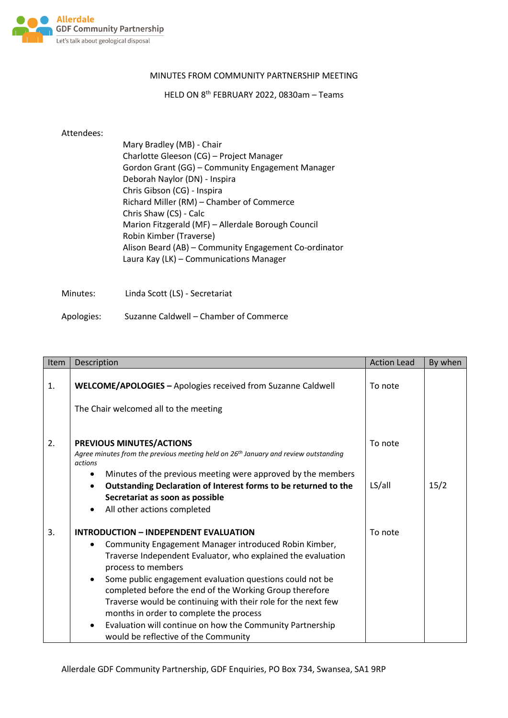

## MINUTES FROM COMMUNITY PARTNERSHIP MEETING

HELD ON 8 th FEBRUARY 2022, 0830am – Teams

## Attendees:

| Mary Bradley (MB) - Chair                             |
|-------------------------------------------------------|
| Charlotte Gleeson (CG) - Project Manager              |
| Gordon Grant (GG) - Community Engagement Manager      |
| Deborah Naylor (DN) - Inspira                         |
| Chris Gibson (CG) - Inspira                           |
| Richard Miller (RM) - Chamber of Commerce             |
| Chris Shaw (CS) - Calc                                |
| Marion Fitzgerald (MF) - Allerdale Borough Council    |
| Robin Kimber (Traverse)                               |
| Alison Beard (AB) - Community Engagement Co-ordinator |
| Laura Kay (LK) - Communications Manager               |
|                                                       |

Minutes: Linda Scott (LS) - Secretariat

Apologies: Suzanne Caldwell – Chamber of Commerce

| Item | Description                                                                                                                                                                                                                                                                                                                                                                                                                                                                                                                                                                                  | <b>Action Lead</b> | By when |
|------|----------------------------------------------------------------------------------------------------------------------------------------------------------------------------------------------------------------------------------------------------------------------------------------------------------------------------------------------------------------------------------------------------------------------------------------------------------------------------------------------------------------------------------------------------------------------------------------------|--------------------|---------|
| 1.   | WELCOME/APOLOGIES - Apologies received from Suzanne Caldwell<br>The Chair welcomed all to the meeting                                                                                                                                                                                                                                                                                                                                                                                                                                                                                        | To note            |         |
| 2.   | PREVIOUS MINUTES/ACTIONS<br>Agree minutes from the previous meeting held on 26 <sup>th</sup> January and review outstanding<br>actions<br>Minutes of the previous meeting were approved by the members<br>$\bullet$<br>Outstanding Declaration of Interest forms to be returned to the<br>$\bullet$<br>Secretariat as soon as possible<br>$\bullet$                                                                                                                                                                                                                                          | To note<br>LS/all  | 15/2    |
| 3.   | All other actions completed<br><b>INTRODUCTION - INDEPENDENT EVALUATION</b><br>Community Engagement Manager introduced Robin Kimber,<br>Traverse Independent Evaluator, who explained the evaluation<br>process to members<br>Some public engagement evaluation questions could not be<br>$\bullet$<br>completed before the end of the Working Group therefore<br>Traverse would be continuing with their role for the next few<br>months in order to complete the process<br>Evaluation will continue on how the Community Partnership<br>$\bullet$<br>would be reflective of the Community | To note            |         |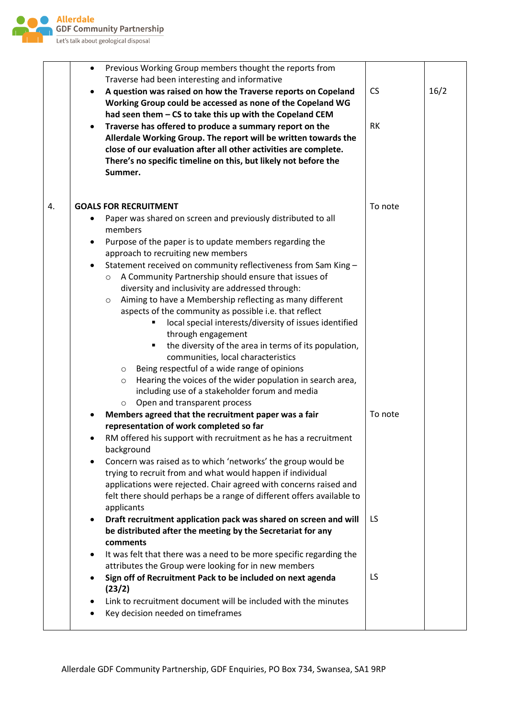

|    | $\bullet$ | Previous Working Group members thought the reports from<br>Traverse had been interesting and informative                                                                                                                                                                                                                                                                                                                                                                                                                                                                                                                                                                                                                                                                                                                                                                                                                                                                                                                                                                                                                                                           |           |      |
|----|-----------|--------------------------------------------------------------------------------------------------------------------------------------------------------------------------------------------------------------------------------------------------------------------------------------------------------------------------------------------------------------------------------------------------------------------------------------------------------------------------------------------------------------------------------------------------------------------------------------------------------------------------------------------------------------------------------------------------------------------------------------------------------------------------------------------------------------------------------------------------------------------------------------------------------------------------------------------------------------------------------------------------------------------------------------------------------------------------------------------------------------------------------------------------------------------|-----------|------|
|    |           | A question was raised on how the Traverse reports on Copeland<br>Working Group could be accessed as none of the Copeland WG                                                                                                                                                                                                                                                                                                                                                                                                                                                                                                                                                                                                                                                                                                                                                                                                                                                                                                                                                                                                                                        | <b>CS</b> | 16/2 |
|    |           | had seen them - CS to take this up with the Copeland CEM<br>Traverse has offered to produce a summary report on the<br>Allerdale Working Group. The report will be written towards the<br>close of our evaluation after all other activities are complete.<br>There's no specific timeline on this, but likely not before the<br>Summer.                                                                                                                                                                                                                                                                                                                                                                                                                                                                                                                                                                                                                                                                                                                                                                                                                           | <b>RK</b> |      |
| 4. |           | <b>GOALS FOR RECRUITMENT</b>                                                                                                                                                                                                                                                                                                                                                                                                                                                                                                                                                                                                                                                                                                                                                                                                                                                                                                                                                                                                                                                                                                                                       | To note   |      |
|    |           | Paper was shared on screen and previously distributed to all<br>members                                                                                                                                                                                                                                                                                                                                                                                                                                                                                                                                                                                                                                                                                                                                                                                                                                                                                                                                                                                                                                                                                            |           |      |
|    | $\bullet$ | Purpose of the paper is to update members regarding the                                                                                                                                                                                                                                                                                                                                                                                                                                                                                                                                                                                                                                                                                                                                                                                                                                                                                                                                                                                                                                                                                                            |           |      |
|    | ٠         | approach to recruiting new members<br>Statement received on community reflectiveness from Sam King-<br>A Community Partnership should ensure that issues of<br>$\circ$<br>diversity and inclusivity are addressed through:<br>Aiming to have a Membership reflecting as many different<br>$\circ$<br>aspects of the community as possible i.e. that reflect<br>local special interests/diversity of issues identified<br>through engagement<br>the diversity of the area in terms of its population,<br>communities, local characteristics<br>Being respectful of a wide range of opinions<br>$\circ$<br>Hearing the voices of the wider population in search area,<br>$\circ$<br>including use of a stakeholder forum and media<br>Open and transparent process<br>$\circ$<br>Members agreed that the recruitment paper was a fair<br>representation of work completed so far<br>RM offered his support with recruitment as he has a recruitment<br>background<br>Concern was raised as to which 'networks' the group would be<br>trying to recruit from and what would happen if individual<br>applications were rejected. Chair agreed with concerns raised and | To note   |      |
|    |           | felt there should perhaps be a range of different offers available to<br>applicants                                                                                                                                                                                                                                                                                                                                                                                                                                                                                                                                                                                                                                                                                                                                                                                                                                                                                                                                                                                                                                                                                | LS        |      |
|    |           | Draft recruitment application pack was shared on screen and will<br>be distributed after the meeting by the Secretariat for any<br>comments                                                                                                                                                                                                                                                                                                                                                                                                                                                                                                                                                                                                                                                                                                                                                                                                                                                                                                                                                                                                                        |           |      |
|    | ٠         | It was felt that there was a need to be more specific regarding the<br>attributes the Group were looking for in new members                                                                                                                                                                                                                                                                                                                                                                                                                                                                                                                                                                                                                                                                                                                                                                                                                                                                                                                                                                                                                                        |           |      |
|    |           | Sign off of Recruitment Pack to be included on next agenda<br>(23/2)                                                                                                                                                                                                                                                                                                                                                                                                                                                                                                                                                                                                                                                                                                                                                                                                                                                                                                                                                                                                                                                                                               | LS        |      |
|    |           | Link to recruitment document will be included with the minutes<br>Key decision needed on timeframes                                                                                                                                                                                                                                                                                                                                                                                                                                                                                                                                                                                                                                                                                                                                                                                                                                                                                                                                                                                                                                                                |           |      |
|    |           |                                                                                                                                                                                                                                                                                                                                                                                                                                                                                                                                                                                                                                                                                                                                                                                                                                                                                                                                                                                                                                                                                                                                                                    |           |      |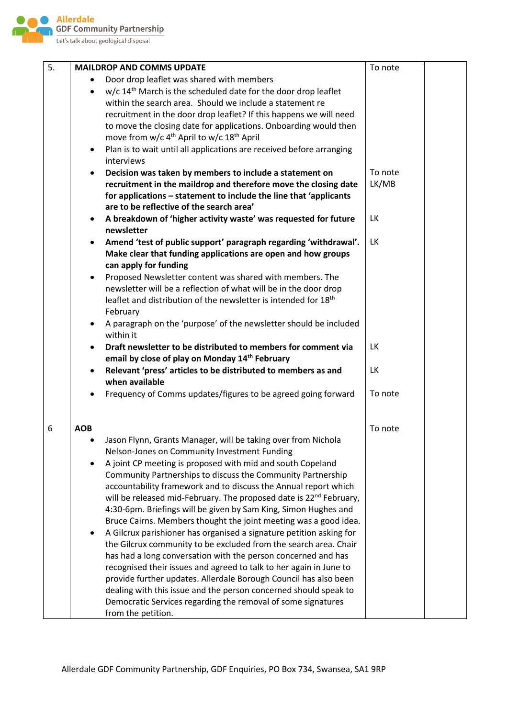

| 5. | <b>MAILDROP AND COMMS UPDATE</b>                                                  | To note   |
|----|-----------------------------------------------------------------------------------|-----------|
|    | Door drop leaflet was shared with members                                         |           |
|    | w/c 14 <sup>th</sup> March is the scheduled date for the door drop leaflet        |           |
|    | within the search area. Should we include a statement re                          |           |
|    | recruitment in the door drop leaflet? If this happens we will need                |           |
|    | to move the closing date for applications. Onboarding would then                  |           |
|    | move from w/c 4 <sup>th</sup> April to w/c 18 <sup>th</sup> April                 |           |
|    | Plan is to wait until all applications are received before arranging<br>$\bullet$ |           |
|    | interviews                                                                        |           |
|    | Decision was taken by members to include a statement on                           | To note   |
|    | recruitment in the maildrop and therefore move the closing date                   | LK/MB     |
|    | for applications - statement to include the line that 'applicants                 |           |
|    | are to be reflective of the search area'                                          |           |
|    | A breakdown of 'higher activity waste' was requested for future                   | LK        |
|    | newsletter                                                                        |           |
|    | Amend 'test of public support' paragraph regarding 'withdrawal'.                  | <b>LK</b> |
|    | Make clear that funding applications are open and how groups                      |           |
|    | can apply for funding                                                             |           |
|    | Proposed Newsletter content was shared with members. The<br>$\bullet$             |           |
|    | newsletter will be a reflection of what will be in the door drop                  |           |
|    | leaflet and distribution of the newsletter is intended for 18 <sup>th</sup>       |           |
|    | February                                                                          |           |
|    | A paragraph on the 'purpose' of the newsletter should be included<br>within it    |           |
|    | Draft newsletter to be distributed to members for comment via                     | LK        |
|    | email by close of play on Monday 14 <sup>th</sup> February                        |           |
|    | Relevant 'press' articles to be distributed to members as and                     | LK        |
|    | when available                                                                    |           |
|    | Frequency of Comms updates/figures to be agreed going forward                     | To note   |
|    |                                                                                   |           |
| 6  | <b>AOB</b>                                                                        | To note   |
|    | Jason Flynn, Grants Manager, will be taking over from Nichola                     |           |
|    |                                                                                   |           |
|    | Nelson-Jones on Community Investment Funding                                      |           |
|    | A joint CP meeting is proposed with mid and south Copeland                        |           |
|    | Community Partnerships to discuss the Community Partnership                       |           |
|    | accountability framework and to discuss the Annual report which                   |           |
|    | will be released mid-February. The proposed date is 22 <sup>nd</sup> February,    |           |
|    | 4:30-6pm. Briefings will be given by Sam King, Simon Hughes and                   |           |
|    | Bruce Cairns. Members thought the joint meeting was a good idea.                  |           |
|    | A Gilcrux parishioner has organised a signature petition asking for               |           |
|    | the Gilcrux community to be excluded from the search area. Chair                  |           |
|    | has had a long conversation with the person concerned and has                     |           |
|    | recognised their issues and agreed to talk to her again in June to                |           |
|    | provide further updates. Allerdale Borough Council has also been                  |           |
|    | dealing with this issue and the person concerned should speak to                  |           |
|    | Democratic Services regarding the removal of some signatures                      |           |
|    | from the petition.                                                                |           |